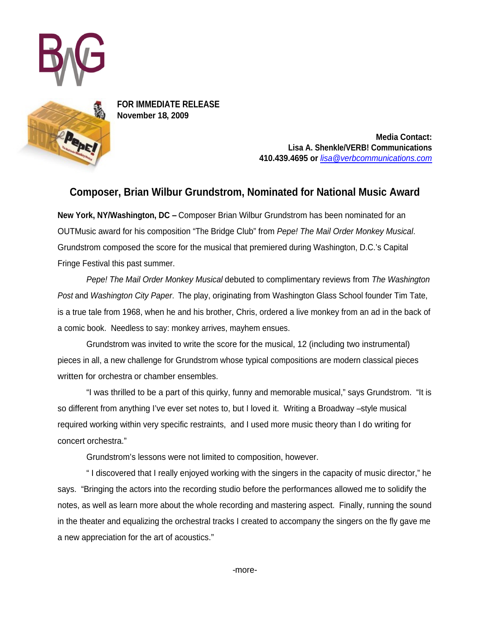



**FOR IMMEDIATE RELEASE November 18, 2009**

> **Media Contact: Lisa A. Shenkle/VERB! Communications 410.439.4695 or** lisa@verbcommunications.com

## **Composer, Brian Wilbur Grundstrom, Nominated for National Music Award**

**New York, NY/Washington, DC –** Composer Brian Wilbur Grundstrom has been nominated for an OUTMusic award for his composition "The Bridge Club" from Pepe! The Mail Order Monkey Musical.<br>Grundstrom composed the score for the musical that premiered during Washington, D.C.'s Capital Fringe Festival this past summer.

Pepe! The Mail Order Monkey Musical debuted to complimentary reviews from The Washington Post and Washington City Paper. The play, originating from Washington Glass School founder Tim Tate, is a true tale from 1968, when he and his brother, Chris, ordered a live monkey from an ad in the back of a comic book. Needless to say: monkey arrives, mayhem ensues.

Grundstrom was invited to write the score for the musical, 12 (including two instrumental) pieces in all, a new challenge for Grundstrom whose typical compositions are modern classical pieces

written for orchestra or chamber ensembles.<br>"I was thrilled to be a part of this quirky, funny and memorable musical," says Grundstrom. "It is so different from anything I've ever set notes to, but I loved it. Writing a Broadway –style musical required working within very specific restraints, and I used more music theory than I do writing for concert orchestra."

Grundstrom's lessons were not limited to composition, however.

" I discovered that I really enjoyed working with the singers in the capacity of music director," he says. "Bringing the actors into the recording studio before the performances allowed me to solidify the notes, as well as learn more about the whole recording and mastering aspect. Finally, running the sound in the theater and equalizing the orchestral tracks I created to accompany the singers on the fly gave me a new appreciation for the art of acoustics."